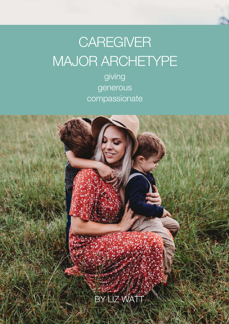# **CAREGIVER** MAJOR ARCHETYPE

giving generous compassionate

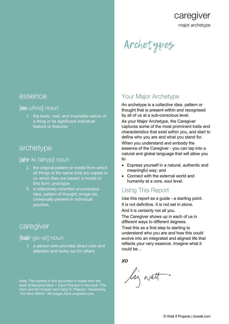major archetype

caregiver

# Archetypes

#### essence

#### [es-*uh*ns] *noun*

1. the basic, real, and invariable nature of a thing or its significant individual feature or features

# archetype

### [ahr-ki-tahyp] *noun*

- 2. the original pattern or model from which all things of the same kind are copied or on which they are based; a model or first form; prototype
- 3. a collectively inherited unconscious idea, pattern of thought, image etc. Universally present in individual psyches.

# caregiver

### [kair-giv-er] *noun*

1. a person who provides direct care and attention and looks out for others

Note: The content in this document is drawn from the work of Margaret Mark + Carol Pearson in the book *"The Hero and the Outlaw"* and Carol S. Pearson *"Awakening The Hero Within."* All images from unsplash.com.

# Your Major Archetype

An archetype is a collective idea, pattern or thought that is present within and recognised by all of us at a sub-conscious level.

As your Major Archetype, the Caregiver captures some of the most prominent traits and characteristics that exist within you, and start to define who you are and what you stand for. When you understand and embody the essence of the Caregiver - you can tap into a natural and global language that will allow you to:

- Express yourself in a natural, authentic and meaningful way; and
- Connect with the external world and humanity at a core, soul level.

# Using This Report

Use this report as a guide - a starting point. It is not definitive. It is not set in stone. And it is certainly not all you.

The Caregiver shows up in each of us in different ways to different degrees.

Treat this as a first step to starting to understand who you are and how this could evolve into an integrated and aligned life that reflects your very essence. Imagine what it could be…

*XO*

leg watt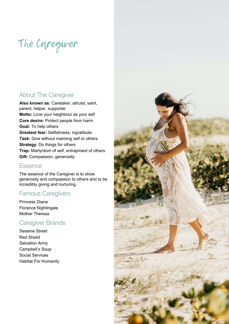# The Caregiver

## About The Caregiver

**Also known as:** Caretaker, altruist, saint, parent, helper, supporter **Motto:** Love your neighbour as your self **Core desire:** Protect people from harm **Goal:** To help others **Greatest fear:** Selfishness, ingratitude **Task:** Give without maiming self or others **Strategy**: Do things for others **Trap:** Martyrdom of self, entrapment of others **Gift:** Compassion, generosity

#### **Essence**

The essence of the Caregiver is to show generosity and compassion to others and to be incredibly giving and nurturing.

## Famous Caregivers

Princess Diana Florence Nightingale Mother Theresa

## Caregiver Brands

Sesame Street Red Shield Salvation Army Campbell's Soup Social Services Habitat For Humanity

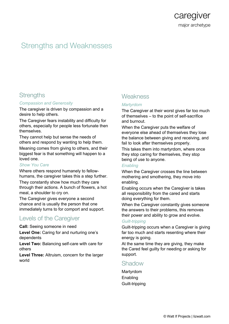

# Strengths and Weaknesses

#### **Strengths**

#### *Compassion and Generosity*

The caregiver is driven by compassion and a desire to help others.

The Caregiver fears instability and difficulty for others, especially for people less fortunate then themselves.

They cannot help but sense the needs of others and respond by wanting to help them. Meaning comes from giving to others, and their biggest fear is that something will happen to a loved one.

#### *Show You Care*

Where others respond humanely to fellowhumans, the caregiver takes this a step further. They constantly show how much they care through their actions. A bunch of flowers, a hot meal, a shoulder to cry on.

The Caregiver gives everyone a second chance and is usually the person that one immediately turns to for comport and support.

#### Levels of the Caregiver

**Call:** Seeing someone in need

**Level One:** Caring for and nurturing one's dependents

**Level Two:** Balancing self-care with care for others

**Level Three:** Altruism, concern for the larger world

## **Weakness**

#### *Martyrdom*

The Caregiver at their worst gives far too much of themselves – to the point of self-sacrifice and burnout.

When the Caregiver puts the welfare of everyone else ahead of themselves they lose the balance between giving and receiving, and fail to look after themselves properly.

This takes them into martyrdom, where once they stop caring for themselves, they stop being of use to anyone.

#### *Enabling*

When the Caregiver crosses the line between mothering and smothering, they move into enabling.

Enabling occurs when the Caregiver is takes all responsibility from the cared and starts doing everything for them.

When the Caregiver constantly gives someone the answers to their problems, this removes their power and ability to grow and evolve.

#### *Guilt-tripping*

Guilt-tripping occurs when a Caregiver is giving far too much and starts resenting where their energy is going.

At the same time they are giving, they make the Cared feel guilty for needing or asking for support.

#### Shadow

Martyrdom Enabling Guilt-tripping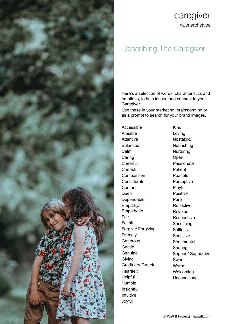

# caregiver major archetype

# Describing The Caregiver

Here's a selection of words, characteristics and emotions, to help inspire and connect to your Caregiver.

Use these in your marketing, brainstorming or as a prompt to search for your brand images.

Kind

Accessible Amiable Attentive Balanced Calm Caring **Cheerful** Cherish Compassion **Considerate Content** Deep Dependable Empathy/ Empathetic Fair Faithful Forgive/ Forgiving Friendly Generous Gentle **Genuine** Giving Gratitude/ Grateful **Heartfelt** Helpful Humble **Insightful** Intuitive Joyful

Loving Nostalgic/ Nourishing **Nurturing** Open Passionate Patient Peaceful Perceptive Playful Positive Pure Reflective Relaxed Responsive **Sacrificing** Selfless Sensitive **Sentimental** Sharing Support/ Supportive Sweet Warm Welcoming Unconditional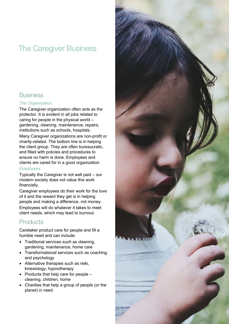# The Caregiver Business



#### *The Organization*

The Caregiver organization often acts as the protector. It is evident in all jobs related to caring for people in the physical world – gardening, cleaning, maintenance, repairs, institutions such as schools, hospitals. Many Caregiver organizations are non-profit or charity-related. The bottom line is in helping the client group. They are often bureaucratic, and filled with policies and procedures to ensure no harm is done. Employees and clients are cared for in a good organization.

#### *Employees*

Typically the Caregiver is not well paid – our modern society does not value this work financially.

Caregiver employees do their work for the love of it and the reward they get is in helping people and making a difference, not money. Employees will do whatever it takes to meet client needs, which may lead to burnout.

## **Products**

Caretaker product care for people and fill a humble need and can include:

- Traditional services such as cleaning, gardening, maintenance, home care
- Transformational services such as coaching and psychology
- Alternative therapies such as reiki, kinesiology, hypnotherapy
- Products that help care for people cleaning, children, home
- Charities that help a group of people (or the planet) in need

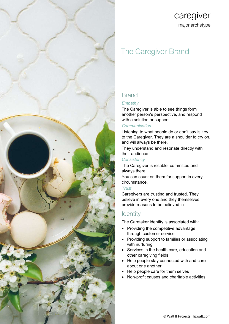

# caregiver major archetype

# The Caregiver Brand

# **Brand**

#### *Empathy*

The Caregiver is able to see things form another person's perspective, and respond with a solution or support.

#### *Communication*

Listening to what people do or don't say is key to the Caregiver. They are a shoulder to cry on, and will always be there.

They understand and resonate directly with their audience.

#### *Consistency*

The Caregiver is reliable, committed and always there.

You can count on them for support in every circumstance.

#### *Trust*

Caregivers are trusting and trusted. They believe in every one and they themselves provide reasons to be believed in.

### **Identity**

The Caretaker identity is associated with:

- Providing the competitive advantage through customer service
- Providing support to families or associating with nurturing
- Services in the health care, education and other caregiving fields
- Help people stay connected with and care about one another
- Help people care for them selves
- Non-profit causes and charitable activities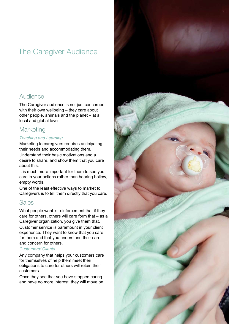# The Caregiver Audience



The Caregiver audience is not just concerned with their own wellbeing – they care about other people, animals and the planet – at a local and global level.

# **Marketing**

#### *Teaching and Learning*

Marketing to caregivers requires anticipating their needs and accommodating them.

Understand their basic motivations and a desire to share, and show them that you care about this.

It is much more important for them to see you care in your actions rather than hearing hollow, empty words.

One of the least effective ways to market to Caregivers is to tell them directly that you care.

## Sales

What people want is reinforcement that if they care for others, others will care form that – as a Caregiver organization, you give them that. Customer service is paramount in your client experience. They want to know that you care for them and that you understand their care and concern for others.

#### *Customers/ Clients*

Any company that helps your customers care for themselves of help them meet their obligations to care for others will retain their customers.

Once they see that you have stopped caring and have no more interest, they will move on.